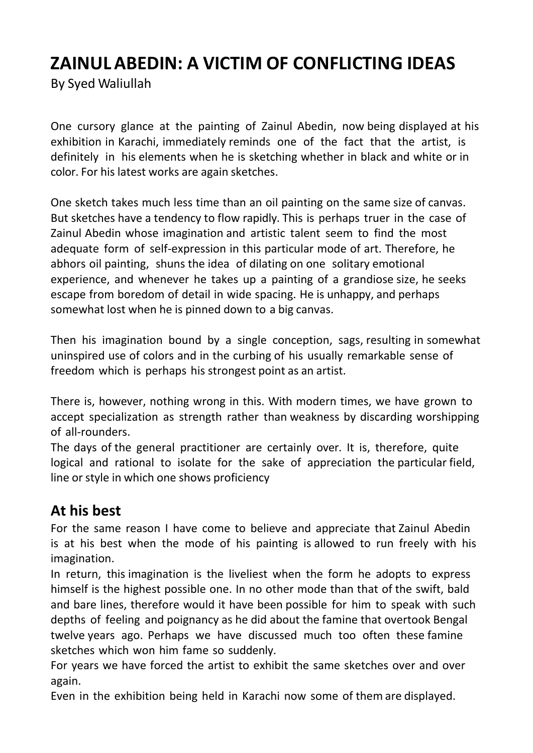# **ZAINULABEDIN: A VICTIM OF CONFLICTING IDEAS**

By Syed Waliullah

One cursory glance at the painting of Zainul Abedin, now being displayed at his exhibition in Karachi, immediately reminds one of the fact that the artist, is definitely in his elements when he is sketching whether in black and white or in color. For his latest works are again sketches.

One sketch takes much less time than an oil painting on the same size of canvas. But sketches have a tendency to flow rapidly. This is perhaps truer in the case of Zainul Abedin whose imagination and artistic talent seem to find the most adequate form of self-expression in this particular mode of art. Therefore, he abhors oil painting, shuns the idea of dilating on one solitary emotional experience, and whenever he takes up a painting of a grandiose size, he seeks escape from boredom of detail in wide spacing. He is unhappy, and perhaps somewhat lost when he is pinned down to a big canvas.

Then his imagination bound by a single conception, sags, resulting in somewhat uninspired use of colors and in the curbing of his usually remarkable sense of freedom which is perhaps his strongest point as an artist.

There is, however, nothing wrong in this. With modern times, we have grown to accept specialization as strength rather than weakness by discarding worshipping of all-rounders.

The days of the general practitioner are certainly over. It is, therefore, quite logical and rational to isolate for the sake of appreciation the particular field, line or style in which one shows proficiency

## **At his best**

For the same reason I have come to believe and appreciate that Zainul Abedin is at his best when the mode of his painting is allowed to run freely with his imagination.

In return, this imagination is the liveliest when the form he adopts to express himself is the highest possible one. In no other mode than that of the swift, bald and bare lines, therefore would it have been possible for him to speak with such depths of feeling and poignancy as he did about the famine that overtook Bengal twelve years ago. Perhaps we have discussed much too often these famine sketches which won him fame so suddenly.

For years we have forced the artist to exhibit the same sketches over and over again.

Even in the exhibition being held in Karachi now some of them are displayed.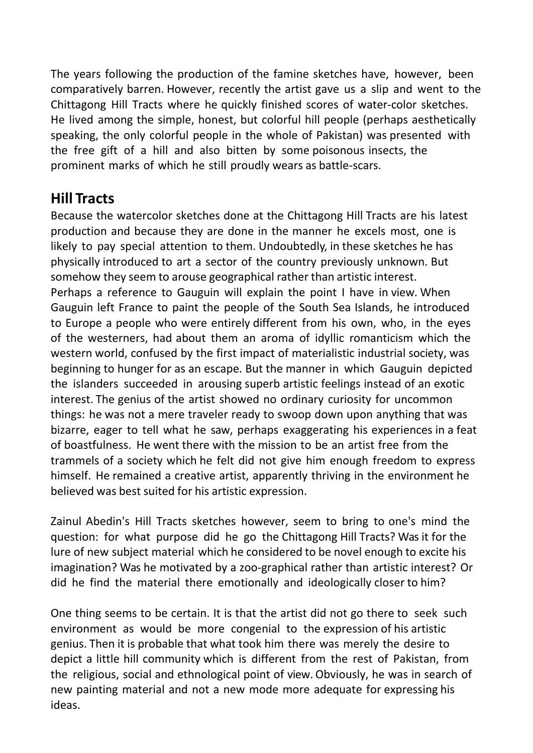The years following the production of the famine sketches have, however, been comparatively barren. However, recently the artist gave us a slip and went to the Chittagong Hill Tracts where he quickly finished scores of water-color sketches. He lived among the simple, honest, but colorful hill people (perhaps aesthetically speaking, the only colorful people in the whole of Pakistan) was presented with the free gift of a hill and also bitten by some poisonous insects, the prominent marks of which he still proudly wears as battle-scars.

## **Hill Tracts**

Because the watercolor sketches done at the Chittagong Hill Tracts are his latest production and because they are done in the manner he excels most, one is likely to pay special attention to them. Undoubtedly, in these sketches he has physically introduced to art a sector of the country previously unknown. But somehow they seem to arouse geographical rather than artistic interest. Perhaps a reference to Gauguin will explain the point I have in view. When Gauguin left France to paint the people of the South Sea Islands, he introduced to Europe a people who were entirely different from his own, who, in the eyes of the westerners, had about them an aroma of idyllic romanticism which the western world, confused by the first impact of materialistic industrial society, was beginning to hunger for as an escape. But the manner in which Gauguin depicted the islanders succeeded in arousing superb artistic feelings instead of an exotic interest. The genius of the artist showed no ordinary curiosity for uncommon things: he was not a mere traveler ready to swoop down upon anything that was bizarre, eager to tell what he saw, perhaps exaggerating his experiences in a feat of boastfulness. He went there with the mission to be an artist free from the trammels of a society which he felt did not give him enough freedom to express himself. He remained a creative artist, apparently thriving in the environment he believed was best suited for his artistic expression.

Zainul Abedin's Hill Tracts sketches however, seem to bring to one's mind the question: for what purpose did he go the Chittagong Hill Tracts? Was it for the lure of new subject material which he considered to be novel enough to excite his imagination? Was he motivated by a zoo-graphical rather than artistic interest? Or did he find the material there emotionally and ideologically closer to him?

One thing seems to be certain. It is that the artist did not go there to seek such environment as would be more congenial to the expression of his artistic genius. Then it is probable that what took him there was merely the desire to depict a little hill community which is different from the rest of Pakistan, from the religious, social and ethnological point of view. Obviously, he was in search of new painting material and not a new mode more adequate for expressing his ideas.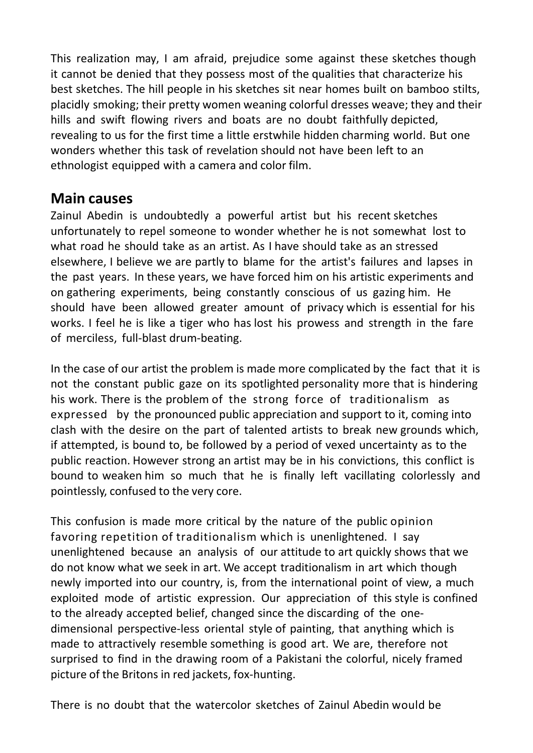This realization may, I am afraid, prejudice some against these sketches though it cannot be denied that they possess most of the qualities that characterize his best sketches. The hill people in his sketches sit near homes built on bamboo stilts, placidly smoking; their pretty women weaning colorful dresses weave; they and their hills and swift flowing rivers and boats are no doubt faithfully depicted, revealing to us for the first time a little erstwhile hidden charming world. But one wonders whether this task of revelation should not have been left to an ethnologist equipped with a camera and color film.

### **Main causes**

Zainul Abedin is undoubtedly a powerful artist but his recent sketches unfortunately to repel someone to wonder whether he is not somewhat lost to what road he should take as an artist. As I have should take as an stressed elsewhere, I believe we are partly to blame for the artist's failures and lapses in the past years. In these years, we have forced him on his artistic experiments and on gathering experiments, being constantly conscious of us gazing him. He should have been allowed greater amount of privacy which is essential for his works. I feel he is like a tiger who has lost his prowess and strength in the fare of merciless, full-blast drum-beating.

In the case of our artist the problem is made more complicated by the fact that it is not the constant public gaze on its spotlighted personality more that is hindering his work. There is the problem of the strong force of traditionalism as expressed by the pronounced public appreciation and support to it, coming into clash with the desire on the part of talented artists to break new grounds which, if attempted, is bound to, be followed by a period of vexed uncertainty as to the public reaction. However strong an artist may be in his convictions, this conflict is bound to weaken him so much that he is finally left vacillating colorlessly and pointlessly, confused to the very core.

This confusion is made more critical by the nature of the public opinion favoring repetition of traditionalism which is unenlightened. I say unenlightened because an analysis of our attitude to art quickly shows that we do not know what we seek in art. We accept traditionalism in art which though newly imported into our country, is, from the international point of view, a much exploited mode of artistic expression. Our appreciation of this style is confined to the already accepted belief, changed since the discarding of the onedimensional perspective-less oriental style of painting, that anything which is made to attractively resemble something is good art. We are, therefore not surprised to find in the drawing room of a Pakistani the colorful, nicely framed picture of the Britons in red jackets, fox-hunting.

There is no doubt that the watercolor sketches of Zainul Abedin would be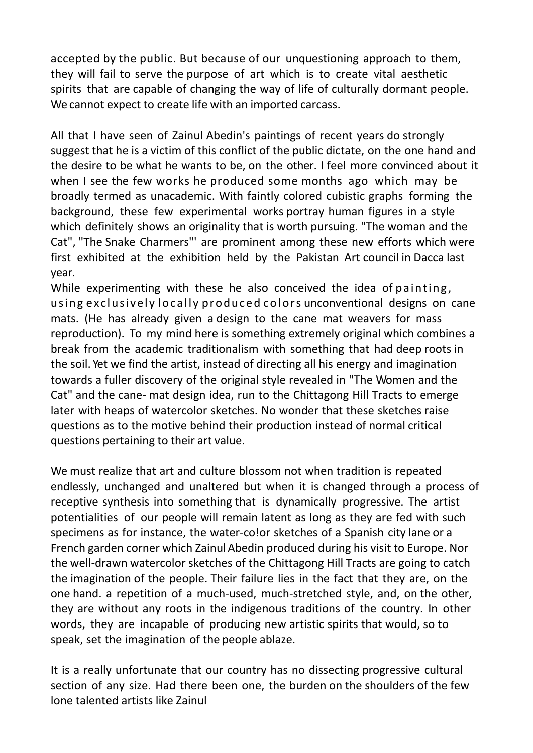accepted by the public. But because of our unquestioning approach to them, they will fail to serve the purpose of art which is to create vital aesthetic spirits that are capable of changing the way of life of culturally dormant people. We cannot expect to create life with an imported carcass.

All that I have seen of Zainul Abedin's paintings of recent years do strongly suggest that he is a victim of this conflict of the public dictate, on the one hand and the desire to be what he wants to be, on the other. I feel more convinced about it when I see the few works he produced some months ago which may be broadly termed as unacademic. With faintly colored cubistic graphs forming the background, these few experimental works portray human figures in a style which definitely shows an originality that is worth pursuing. "The woman and the Cat", "The Snake Charmers"' are prominent among these new efforts which were first exhibited at the exhibition held by the Pakistan Art council in Dacca last year.

While experimenting with these he also conceived the idea of painting, using exclusively locally produced colors unconventional designs on cane mats. (He has already given a design to the cane mat weavers for mass reproduction). To my mind here is something extremely original which combines a break from the academic traditionalism with something that had deep roots in the soil. Yet we find the artist, instead of directing all his energy and imagination towards a fuller discovery of the original style revealed in "The Women and the Cat" and the cane- mat design idea, run to the Chittagong Hill Tracts to emerge later with heaps of watercolor sketches. No wonder that these sketches raise questions as to the motive behind their production instead of normal critical questions pertaining to their art value.

We must realize that art and culture blossom not when tradition is repeated endlessly, unchanged and unaltered but when it is changed through a process of receptive synthesis into something that is dynamically progressive. The artist potentialities of our people will remain latent as long as they are fed with such specimens as for instance, the water-co!or sketches of a Spanish city lane or a French garden corner which ZainulAbedin produced during his visit to Europe. Nor the well-drawn watercolor sketches of the Chittagong Hill Tracts are going to catch the imagination of the people. Their failure lies in the fact that they are, on the one hand. a repetition of a much-used, much-stretched style, and, on the other, they are without any roots in the indigenous traditions of the country. In other words, they are incapable of producing new artistic spirits that would, so to speak, set the imagination of the people ablaze.

It is a really unfortunate that our country has no dissecting progressive cultural section of any size. Had there been one, the burden on the shoulders of the few lone talented artists like Zainul